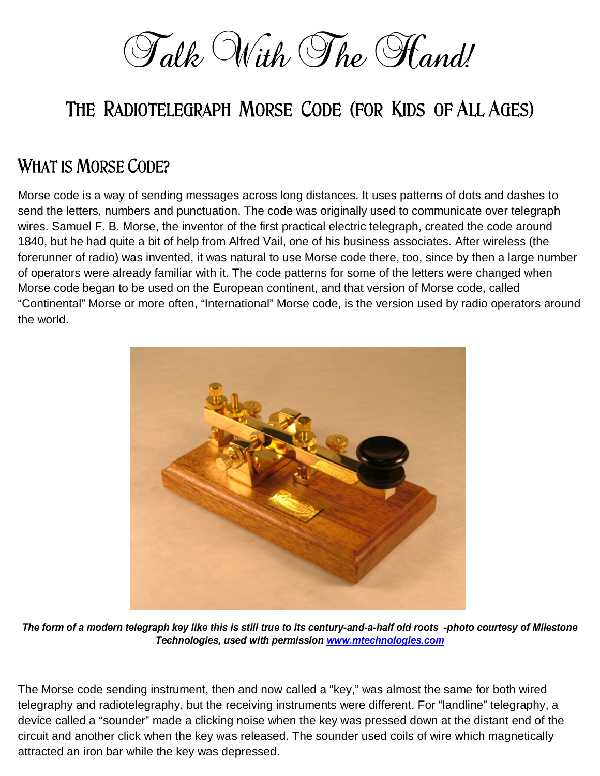Talk With The Hand!

# **The Radiotelegraph Morse Code (for Kids of All Ages)**

#### **What is Morse Code?**

Morse code is a way of sending messages across long distances. It uses patterns of dots and dashes to send the letters, numbers and punctuation. The code was originally used to communicate over telegraph wires. Samuel F. B. Morse, the inventor of the first practical electric telegraph, created the code around 1840, but he had quite a bit of help from Alfred Vail, one of his business associates. After wireless (the forerunner of radio) was invented, it was natural to use Morse code there, too, since by then a large number of operators were already familiar with it. The code patterns for some of the letters were changed when Morse code began to be used on the European continent, and that version of Morse code, called "Continental" Morse or more often, "International" Morse code, is the version used by radio operators around the world.



*The form of a modern telegraph key like this is still true to its century-and-a-half old roots -photo courtesy of Milestone Technologies, used with permission [www.mtechnologies.com](http://www.mtechnologies.com)*

The Morse code sending instrument, then and now called a "key," was almost the same for both wired telegraphy and radiotelegraphy, but the receiving instruments were different. For "landline" telegraphy, a device called a "sounder" made a clicking noise when the key was pressed down at the distant end of the circuit and another click when the key was released. The sounder used coils of wire which magnetically attracted an iron bar while the key was depressed.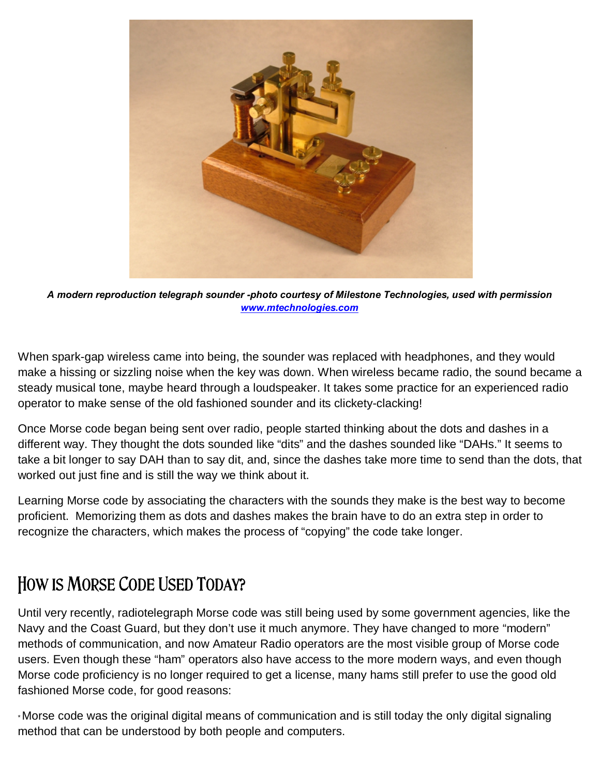

*A modern reproduction telegraph sounder -photo courtesy of Milestone Technologies, used with permission [www.mtechnologies.com](http://www.mtechnologies.com)*

When spark-gap wireless came into being, the sounder was replaced with headphones, and they would make a hissing or sizzling noise when the key was down. When wireless became radio, the sound became a steady musical tone, maybe heard through a loudspeaker. It takes some practice for an experienced radio operator to make sense of the old fashioned sounder and its clickety-clacking!

Once Morse code began being sent over radio, people started thinking about the dots and dashes in a different way. They thought the dots sounded like "dits" and the dashes sounded like "DAHs." It seems to take a bit longer to say DAH than to say dit, and, since the dashes take more time to send than the dots, that worked out just fine and is still the way we think about it.

Learning Morse code by associating the characters with the sounds they make is the best way to become proficient. Memorizing them as dots and dashes makes the brain have to do an extra step in order to recognize the characters, which makes the process of "copying" the code take longer.

## **How is Morse Code Used Today?**

Until very recently, radiotelegraph Morse code was still being used by some government agencies, like the Navy and the Coast Guard, but they don't use it much anymore. They have changed to more "modern" methods of communication, and now Amateur Radio operators are the most visible group of Morse code users. Even though these "ham" operators also have access to the more modern ways, and even though Morse code proficiency is no longer required to get a license, many hams still prefer to use the good old fashioned Morse code, for good reasons:

\*Morse code was the original digital means of communication and is still today the only digital signaling method that can be understood by both people and computers.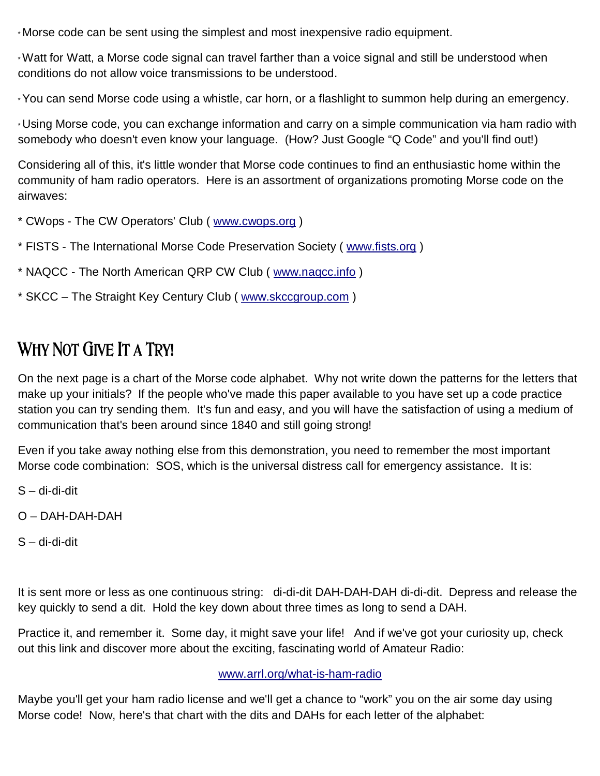\* Morse code can be sent using the simplest and most inexpensive radio equipment.

\* Watt for Watt, a Morse code signal can travel farther than a voice signal and still be understood when conditions do not allow voice transmissions to be understood.

\* You can send Morse code using a whistle, car horn, or a flashlight to summon help during an emergency.

\* Using Morse code, you can exchange information and carry on a simple communication via ham radio with somebody who doesn't even know your language. (How? Just Google "Q Code" and you'll find out!)

Considering all of this, it's little wonder that Morse code continues to find an enthusiastic home within the community of ham radio operators. Here is an assortment of organizations promoting Morse code on the airwaves:

- \* CWops The CW Operators' Club ( [www.cwops.org](http://www.cwops.org) )
- \* FISTS The International Morse Code Preservation Society ( [www.fists.org](http://www.fists.org) )
- \* NAQCC The North American QRP CW Club ( [www.naqcc.info](http://www.naqcc.info) )
- \* SKCC The Straight Key Century Club ( [www.skccgroup.com](http://www.skccgroup.com) )

## **Why Not Give It a Try!**

On the next page is a chart of the Morse code alphabet. Why not write down the patterns for the letters that make up your initials? If the people who've made this paper available to you have set up a code practice station you can try sending them. It's fun and easy, and you will have the satisfaction of using a medium of communication that's been around since 1840 and still going strong!

Even if you take away nothing else from this demonstration, you need to remember the most important Morse code combination: SOS, which is the universal distress call for emergency assistance. It is:

S – di-di-dit

O – DAH-DAH-DAH

S – di-di-dit

It is sent more or less as one continuous string: di-di-dit DAH-DAH-DAH di-di-dit. Depress and release the key quickly to send a dit. Hold the key down about three times as long to send a DAH.

Practice it, and remember it. Some day, it might save your life! And if we've got your curiosity up, check out this link and discover more about the exciting, fascinating world of Amateur Radio:

#### [www.arrl.org/what-is-ham-radio](http://www.arrl.org/what-is-ham-radio)

Maybe you'll get your ham radio license and we'll get a chance to "work" you on the air some day using Morse code! Now, here's that chart with the dits and DAHs for each letter of the alphabet: